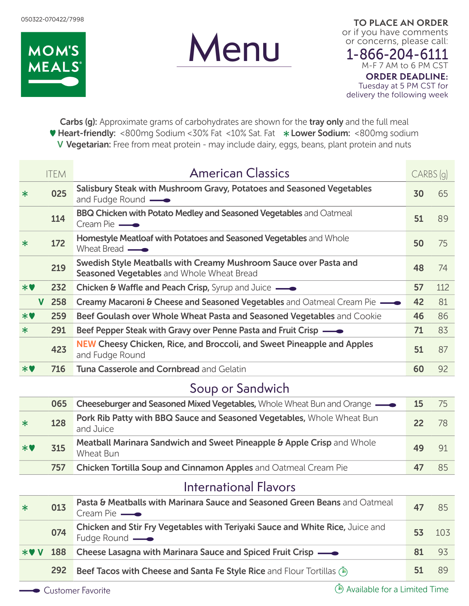



**TO PLACE AN ORDER** or if you have comments or concerns, please call:

1-866-204-6111 M-F 7 AM to 6 PM CST **ORDER DEADLINE:** Tuesday at 5 PM CST for delivery the following week

Carbs (g): Approximate grams of carbohydrates are shown for the tray only and the full meal Heart-friendly: <800mg Sodium <30% Fat <10% Sat. Fat Lower Sodium: <800mg sodium V Vegetarian: Free from meat protein - may include dairy, eggs, beans, plant protein and nuts

|              | <b>ITEM</b> | <b>American Classics</b>                                                                                       | CARBS (g) |     |
|--------------|-------------|----------------------------------------------------------------------------------------------------------------|-----------|-----|
| $\ast$       | 025         | Salisbury Steak with Mushroom Gravy, Potatoes and Seasoned Vegetables<br>and Fudge Round —                     | 30        | 65  |
|              | 114         | <b>BBQ Chicken with Potato Medley and Seasoned Vegetables</b> and Oatmeal<br>Cream Pie $\longrightarrow$       | 51        | 89  |
| $\ast$       | 172         | Homestyle Meatloaf with Potatoes and Seasoned Vegetables and Whole<br>Wheat Bread —                            | 50        | 75  |
|              | 219         | Swedish Style Meatballs with Creamy Mushroom Sauce over Pasta and<br>Seasoned Vegetables and Whole Wheat Bread | 48        | 74  |
| $*$ V        | 232         | Chicken & Waffle and Peach Crisp, Syrup and Juice —                                                            | 57        | 112 |
| $\mathbf{V}$ | 258         | <b>Creamy Macaroni &amp; Cheese and Seasoned Vegetables</b> and Oatmeal Cream Pie <b>-</b>                     | 42        | 81  |
| $*$ V        | 259         | Beef Goulash over Whole Wheat Pasta and Seasoned Vegetables and Cookie                                         | 46        | 86  |
| $\ast$       | 291         | Beef Pepper Steak with Gravy over Penne Pasta and Fruit Crisp -                                                | 71        | 83  |
|              | 423         | <b>NEW Cheesy Chicken, Rice, and Broccoli, and Sweet Pineapple and Apples</b><br>and Fudge Round               | 51        | 87  |
| $*$ V        | 716         | Tuna Casserole and Cornbread and Gelatin                                                                       | 60        | 92  |
|              |             | Soup or Sandwich                                                                                               |           |     |
|              | 065         | Cheeseburger and Seasoned Mixed Vegetables, Whole Wheat Bun and Orange —                                       | 15        | 75  |
| $\ast$       | 128         | Pork Rib Patty with BBQ Sauce and Seasoned Vegetables, Whole Wheat Bun<br>and Juice                            | 22        | 78  |
| $*$ V        | 315         | Meatball Marinara Sandwich and Sweet Pineapple & Apple Crisp and Whole<br><b>Wheat Bun</b>                     | 49        | 91  |
|              | 757         | Chicken Tortilla Soup and Cinnamon Apples and Oatmeal Cream Pie                                                | 47        | 85  |
|              |             | <b>International Flavors</b>                                                                                   |           |     |
| $\ast$       | 013         | Pasta & Meatballs with Marinara Sauce and Seasoned Green Beans and Oatmeal<br>Cream Pie –                      | 47        | 85  |
|              | 074         | Chicken and Stir Fry Vegetables with Teriyaki Sauce and White Rice, Juice and<br>Fudge Round —                 | 53        | 103 |

|  | *♥ V 188 Cheese Lasagna with Marinara Sauce and Spiced Fruit Crisp — ●            |       | 81 93 |
|--|-----------------------------------------------------------------------------------|-------|-------|
|  | <b>292</b> Beef Tacos with Cheese and Santa Fe Style Rice and Flour Tortillas (4) | 51 89 |       |

 $\bullet$  Customer Favorite  $\bullet$  Customer Favorite